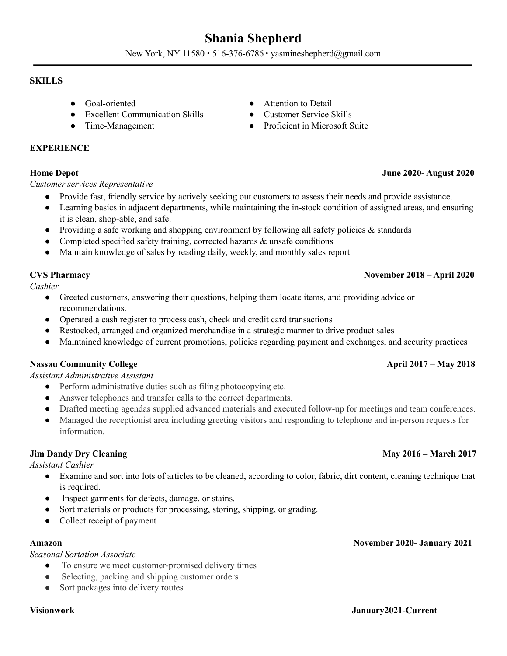# **Shania Shepherd**

New York, NY 11580 ∙ 516-376-6786 ∙ yasmineshepherd@gmail.com

### **SKILLS**

- 
- Excellent Communication Skills Customer Service Skills
- 

### **EXPERIENCE**

## **Home Depot June 2020- August 2020**

### *Customer services Representative*

- Provide fast, friendly service by actively seeking out customers to assess their needs and provide assistance.
- Learning basics in adjacent departments, while maintaining the in-stock condition of assigned areas, and ensuring it is clean, shop-able, and safe.
- Providing a safe working and shopping environment by following all safety policies & standards
- Completed specified safety training, corrected hazards & unsafe conditions
- Maintain knowledge of sales by reading daily, weekly, and monthly sales report

*Cashier*

- Greeted customers, answering their questions, helping them locate items, and providing advice or recommendations.
- Operated a cash register to process cash, check and credit card transactions
- Restocked, arranged and organized merchandise in a strategic manner to drive product sales
- Maintained knowledge of current promotions, policies regarding payment and exchanges, and security practices

# **Nassau Community College April 2017 – May 2018**

### *Assistant Administrative Assistant*

- *●* Perform administrative duties such as filing photocopying etc.
- *●* Answer telephones and transfer calls to the correct departments.
- *●* Drafted meeting agendas supplied advanced materials and executed follow-up for meetings and team conferences.
- *●* Managed the receptionist area including greeting visitors and responding to telephone and in-person requests for information.

### **Jim Dandy Dry Cleaning May 2016 – March 2017**

*Assistant Cashier*

- Examine and sort into lots of articles to be cleaned, according to color, fabric, dirt content, cleaning technique that is required.
- Inspect garments for defects, damage, or stains.
- Sort materials or products for processing, storing, shipping, or grading.
- Collect receipt of payment

#### **Amazon November 2020- January 2021**

### *Seasonal Sortation Associate*

- To ensure we meet customer-promised delivery times
- Selecting, packing and shipping customer orders
- Sort packages into delivery routes

- Goal-oriented Attention to Detail
	-
- Time-Management Proficient in Microsoft Suite

# **CVS Pharmacy November 2018 – April 2020**

#### **Visionwork January2021-Current**